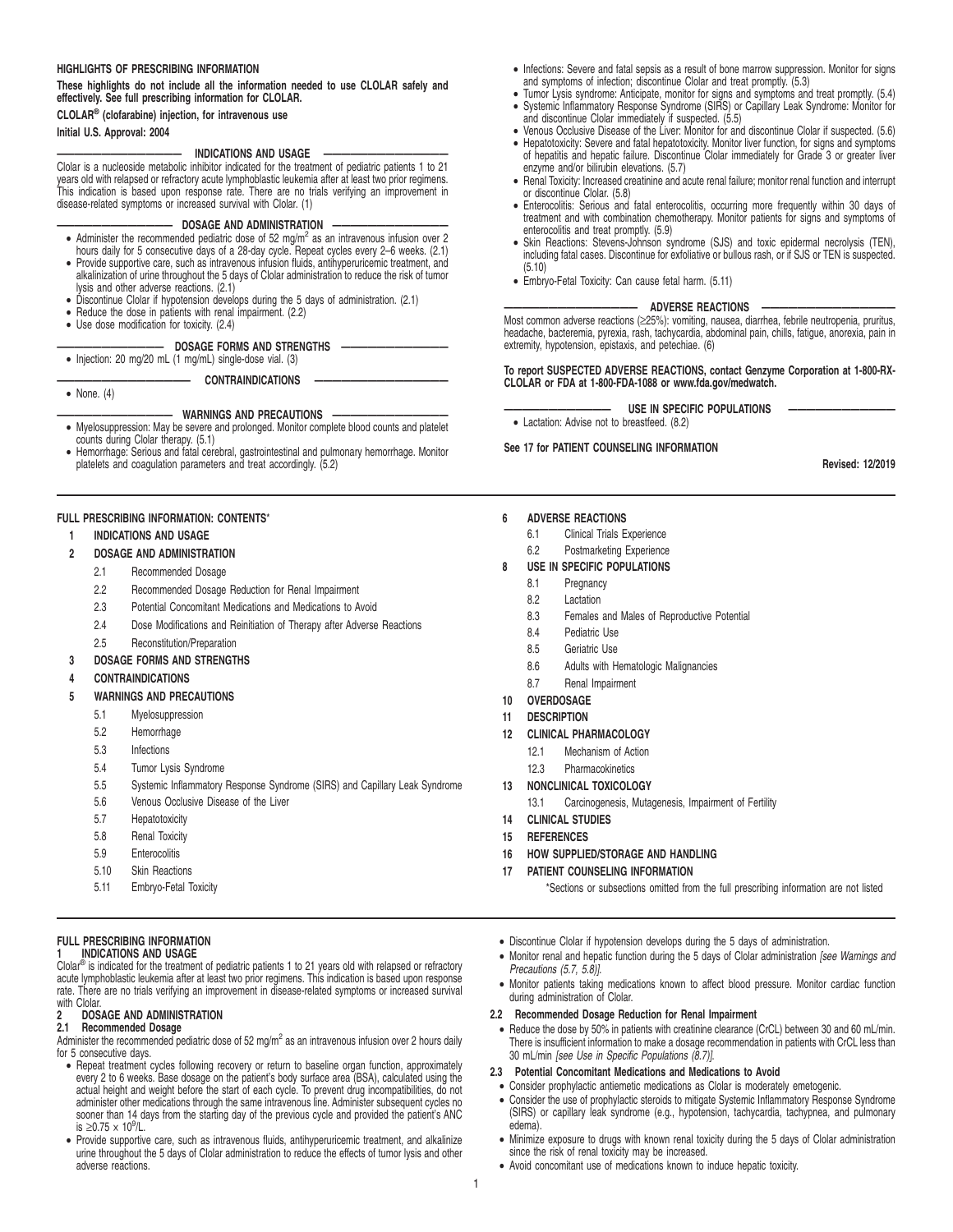### **HIGHLIGHTS OF PRESCRIBING INFORMATION**

**These highlights do not include all the information needed to use CLOLAR safely and effectively. See full prescribing information for CLOLAR.**

**CLOLAR® (clofarabine) injection, for intravenous use**

### **Initial U.S. Approval: 2004**

• None. (4)

# **—————————————— INDICATIONS AND USAGE ——————————————**

Clolar is a nucleoside metabolic inhibitor indicated for the treatment of pediatric patients 1 to 21 years old with relapsed or refractory acute lymphoblastic leukemia after at least two prior regimens. This indication is based upon response rate. There are no trials verifying an improvement in disease-related symptoms or increased survival with Clolar. (1)

### - DOSAGE AND ADMINISTRATION

- Administer the recommended pediatric dose of 52 mg/m<sup>2</sup> as an intravenous infusion over 2 hours daily for 5 consecutive days of a 28-day cycle. Repeat cycles every 2–6 weeks. (2.1)
- Provide supportive care, such as intravenous infusion fluids, antihyperuricemic treatment, and alkalinization of urine throughout the 5 days of Clolar administration to reduce the risk of tumor lysis and other adverse reactions. (2.1)
- Discontinue Clolar if hypotension develops during the 5 days of administration. (2.1)
- Reduce the dose in patients with renal impairment. (2.2)
- Use dose modification for toxicity. (2.4)

# **DOSAGE FORMS AND STRENGTHS**

• Injection: 20 mg/20 mL (1 mg/mL) single-dose vial. (3)

 $$ 

# **WARNINGS AND PRECAUTIONS**

- Myelosuppression: May be severe and prolonged. Monitor complete blood counts and platelet
- counts during Clolar therapy. (5.1) Hemorrhage: Serious and fatal cerebral, gastrointestinal and pulmonary hemorrhage. Monitor platelets and coagulation parameters and treat accordingly. (5.2)

### **FULL PRESCRIBING INFORMATION: CONTENTS**\*

### **1 INDICATIONS AND USAGE**

- **2 DOSAGE AND ADMINISTRATION**
	- 2.1 Recommended Dosage
	- 2.2 Recommended Dosage Reduction for Renal Impairment
	- 2.3 Potential Concomitant Medications and Medications to Avoid
	- 2.4 Dose Modifications and Reinitiation of Therapy after Adverse Reactions
	- 2.5 Reconstitution/Preparation
- **3 DOSAGE FORMS AND STRENGTHS**
- **4 CONTRAINDICATIONS**

# **5 WARNINGS AND PRECAUTIONS**

- 5.1 Myelosuppression
- 5.2 Hemorrhage
- 5.3 Infections
- 5.4 Tumor Lysis Syndrome
- 5.5 Systemic Inflammatory Response Syndrome (SIRS) and Capillary Leak Syndrome
- 5.6 Venous Occlusive Disease of the Liver
- 5.7 Hepatotoxicity
- 5.8 Renal Toxicity
- 5.9 Enterocolitis
- 5.10 Skin Reactions
- 5.11 Embryo-Fetal Toxicity

### **FULL PRESCRIBING INFORMATION 1 INDICATIONS AND USAGE**

Clolar® is indicated for the treatment of pediatric patients 1 to 21 years old with relapsed or refractory<br>acute lymphoblastic leukemia after at least two prior regimens. This indication is based upon response rate. There are no trials verifying an improvement in disease-related symptoms or increased survival

# with Clolar.<br>2 DOS. **2 DOSAGE AND ADMINISTRATION**

# **2.1 Recommended Dosage**

Administer the recommended pediatric dose of 52 mg/m<sup>2</sup> as an intravenous infusion over 2 hours daily for 5 consecutive days.

- Repeat treatment cycles following recovery or return to baseline organ function, approximately<br>every 2 to 6 weeks. Base dosage on the patient's body surface area (BSA), calculated using the<br>actual height and weight befor administer other medications through the same intravenous line. Administer subsequent cycles no sooner than 14 days from the starting day of the previous cycle and provided the patient's ANC is ≥0.75  $\times$  10<sup>9</sup>/L.
- Provide supportive care, such as intravenous fluids, antihyperuricemic treatment, and alkalinize urine throughout the 5 days of Clolar administration to reduce the effects of tumor lysis and other adverse reactions.
- Infections: Severe and fatal sepsis as a result of bone marrow suppression. Monitor for signs and symptoms of infection; discontinue Clolar and treat promptly. (5.3)
- Tumor Lysis syndrome: Anticipate, monitor for signs and symptoms and treat promptly. (5.4) • Systemic Inflammatory Response Syndrome (SIRS) or Capillary Leak Syndrome: Monitor for and discontinue Clolar immediately if suspected. (5.5)
- Venous Occlusive Disease of the Liver: Monitor for and discontinue Clolar if suspected. (5.6)
- Hepatotoxicity: Severe and fatal hepatotoxicity. Monitor liver function, for signs and symptoms of hepatitis and hepatic failure. Discontinue Clolar immediately for Grade 3 or greater liver enzyme and/or bilirubin elevations. (5.7)
- Renal Toxicity: Increased creatinine and acute renal failure; monitor renal function and interrupt or discontinue Clolar. (5.8)
- Enterocolitis: Serious and fatal enterocolitis, occurring more frequently within 30 days of treatment and with combination chemotherapy. Monitor patients for signs and symptoms of enterocolitis and treat promptly. (5.9)
- Skin Reactions: Stevens-Johnson syndrome (SJS) and toxic epidermal necrolysis (TEN), including fatal cases. Discontinue for exfoliative or bullous rash, or if SJS or TEN is suspected. (5.10)
- Embryo-Fetal Toxicity: Can cause fetal harm. (5.11)

### **ADVERSE REACTIONS**

Most common adverse reactions (≥25%): vomiting, nausea, diarrhea, febrile neutropenia, pruritus, headache, bacteremia, pyrexia, rash, tachycardia, abdominal pain, chills, fatigue, anorexia, pain in extremity, hypotension, epistaxis, and petechiae. (6)

### **To report SUSPECTED ADVERSE REACTIONS, contact Genzyme Corporation at 1-800-RX-CLOLAR or FDA at 1-800-FDA-1088 or www.fda.gov/medwatch.**

USE IN SPECIFIC POPULATIONS

• Lactation: Advise not to breastfeed. (8.2) **See 17 for PATIENT COUNSELING INFORMATION**

# **Revised: 12/2019**

### **6 ADVERSE REACTIONS**

- 6.1 Clinical Trials Experience
- 6.2 Postmarketing Experience

### **8 USE IN SPECIFIC POPULATIONS**

- 8.1 Pregnancy
- 8.2 Lactation
- 8.3 Females and Males of Reproductive Potential
- 8.4 Pediatric Use
- 8.5 Geriatric Use
- 8.6 Adults with Hematologic Malignancies
- 8.7 Renal Impairment
- **10 OVERDOSAGE**
- **11 DESCRIPTION**
- **12 CLINICAL PHARMACOLOGY**
	- 12.1 Mechanism of Action
	- 12.3 Pharmacokinetics
- 

# **13 NONCLINICAL TOXICOLOGY**

- 13.1 Carcinogenesis, Mutagenesis, Impairment of Fertility
- **14 CLINICAL STUDIES**
- **15 REFERENCES**
- **16 HOW SUPPLIED/STORAGE AND HANDLING**
- **17 PATIENT COUNSELING INFORMATION**

\*Sections or subsections omitted from the full prescribing information are not listed

- Discontinue Clolar if hypotension develops during the 5 days of administration.
- Monitor renal and hepatic function during the 5 days of Clolar administration [see Warnings and Precautions (5.7, 5.8)].
- Monitor patients taking medications known to affect blood pressure. Monitor cardiac function during administration of Clolar.

### **2.2 Recommended Dosage Reduction for Renal Impairment**

- Reduce the dose by 50% in patients with creatinine clearance (CrCL) between 30 and 60 mL/min. There is insufficient information to make a dosage recommendation in patients with CrCL less than 30 mL/min [see Use in Specific Populations (8.7)].
- **2.3 Potential Concomitant Medications and Medications to Avoid**
	- Consider prophylactic antiemetic medications as Clolar is moderately emetogenic.
- Consider the use of prophylactic steroids to mitigate Systemic Inflammatory Response Syndrome (SIRS) or capillary leak syndrome (e.g., hypotension, tachycardia, tachypnea, and pulmonary edema).
- Minimize exposure to drugs with known renal toxicity during the 5 days of Clolar administration since the risk of renal toxicity may be increased.
- Avoid concomitant use of medications known to induce hepatic toxicity.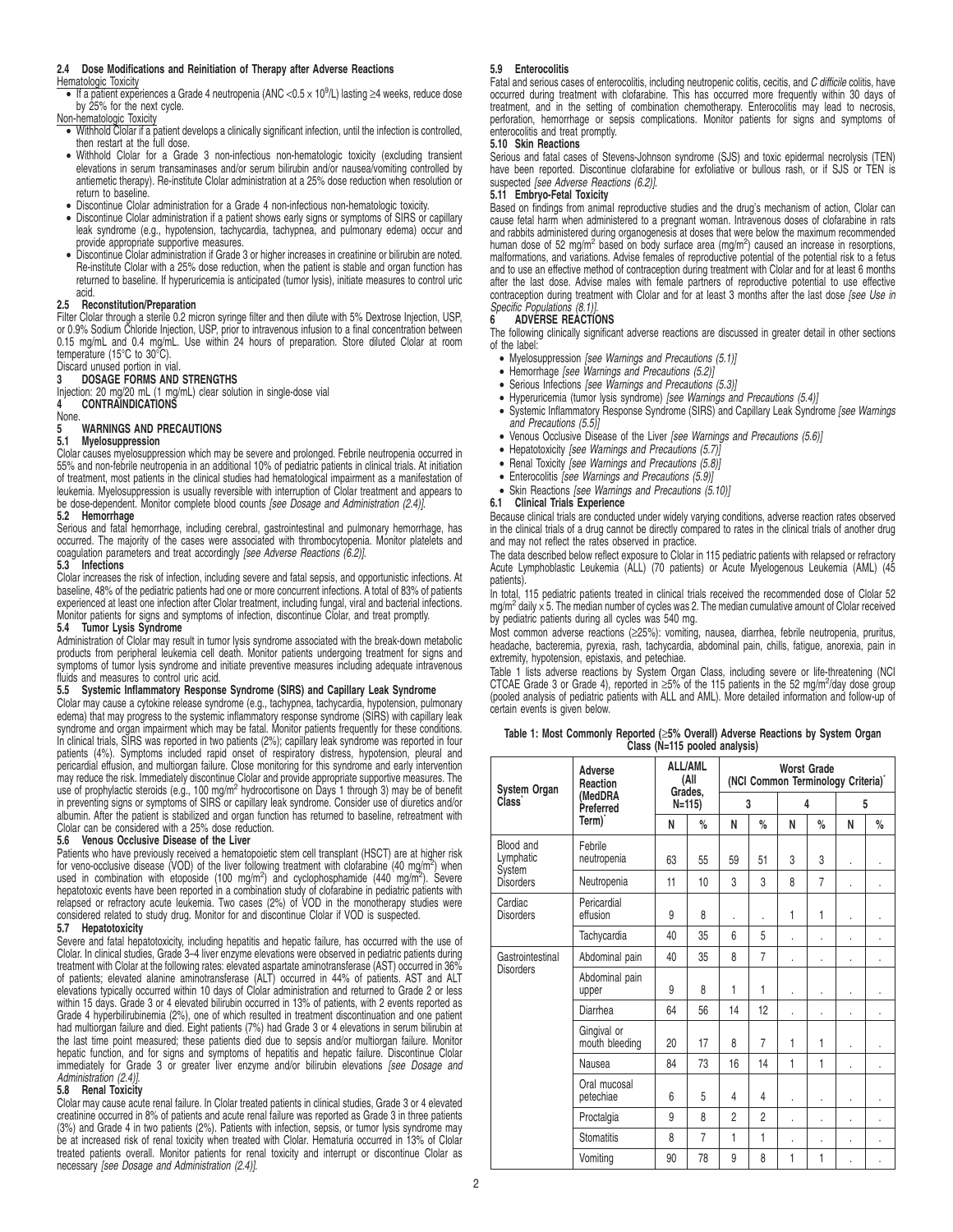### **2.4 Dose Modifications and Reinitiation of Therapy after Adverse Reactions**

### Hematologic Toxicity

- If a patient experiences a Grade 4 neutropenia (ANC <  $0.5 \times 10^9$ /L) lasting  $\geq$ 4 weeks, reduce dose by 25% for the next cycle.
- Non-hematologic Toxicity
- Withhold Clolar if a patient develops a clinically significant infection, until the infection is controlled, then restart at the full dose.
- Withhold Clolar for a Grade 3 non-infectious non-hematologic toxicity (excluding transient elevations in serum transaminases and/or serum bilirubin and/or nausea/vomiting controlled by antiemetic therapy). Re-institute Clolar administration at a 25% dose reduction when resolution or return to baseline.
- 
- Discontinue Clolar administration for a Grade 4 non-infectious non-hematologic toxicity. Discontinue Clolar administration if a patient shows early signs or symptoms of SIRS or capillary leak syndrome (e.g., hypotension, tachycardia, tachypnea, and pulmonary edema) occur and provide appropriate supportive measures.
- Discontinue Clolar administration if Grade 3 or higher increases in creatinine or bilirubin are noted. Re-institute Clolar with a 25% dose reduction, when the patient is stable and organ function has returned to baseline. If hyperuricemia is anticipated (tumor lysis), initiate measures to control uric acid.

### **2.5 Reconstitution/Preparation**

Filter Clolar through a sterile 0.2 micron syringe filter and then dilute with 5% Dextrose Injection, USP,<br>or 0.9% Sodium Chloride Injection, USP, prior to intravenous infusion to a final concentration between<br>0.15 mg/mL a temperature (15°C to 30°C).

### Discard unused portion in vial. **3 DOSAGE FORMS AND STRENGTHS**

Injection: 20 mg/20 mL (1 mg/mL) clear solution in single-dose vial<br>4 **CONTRAINDICATIONS** 

# **CONTRAINDICATIONS**

None.

**5** WARNINGS AND PRECAUTIONS<br>5.1 Myelosuppression

# **5.1 Myelosuppression**

Clolar causes myelosuppression which may be severe and prolonged. Febrile neutropenia occurred in 55% and non-febrile neutropenia in an additional 10% of pediatric patients in clinical trials. At initiation of treatment, most patients in the clinical studies had hematological impairment as a manifestation of leukemia. Myelosuppression is usually reversible with interruption of Clolar treatment and appears to<br>be dose-dependent. Monitor complete blood counts *[see Dosage and Administration (2.4)].* 

### **5.2 Hemorrhage**

Serious and fatal hemorrhage, including cerebral, gastrointestinal and pulmonary hemorrhage, has occurred. The majority of the cases were associated with thrombocytopenia. Monitor platelets and coagulation parameters and treat accordingly [see Adverse Reactions (6.2)].

### **5.3 Infections**

Clolar increases the risk of infection, including severe and fatal sepsis, and opportunistic infections. At baseline, 48% of the pediatric patients had one or more concurrent infections. A total of 83% of patients experienced at least one infection after Clolar treatment, including fungal, viral and bacterial infections. Monitor patients for signs and symptoms of infection, discontinue Clolar, and treat promptly.

### **5.4 Tumor Lysis Syndrome**

Administration of Clolar may result in tumor lysis syndrome associated with the break-down metabolic products from peripheral leukemia cell death. Monitor patients undergoing treatment for signs and symptoms of tumor lysis syndrome and initiate preventive measures including adequate intravenous fluids and measures to control uric acid.

### **5.5 Systemic Inflammatory Response Syndrome (SIRS) and Capillary Leak Syndrome**

Clolar may cause a cytokine release syndrome (e.g., tachypnea, tachycardia, hypotension, pulmonary<br>edema) that may progress to the systemic inflammatory response syndrome (SIRS) with capillary leak<br>syndrome and organ impai In clinical trials, SIRS was reported in two patients (2%); capillary leak syndrome was reported in four patients (4%). Symptoms included rapid onset of respiratory distress, hypotension, pleural and pericardial effusion, and multiorgan failure. Close monitoring for this syndrome and early intervention may reduce the risk. Immediately discontinue Clolar and provide appropriate supportive measures. The use of prophylactic steroids (e.g., 100 mg/m<sup>2</sup> hydrocortisone on Days 1 through 3) may be of benefit in preventing signs or symptoms of SIRS or capillary leak syndrome. Consider use of diuretics and/or albumin. After the patient is stabilized and organ function has returned to baseline, retreatment with Clolar can be considered with a 25% dose reduction.

### **5.6 Venous Occlusive Disease of the Liver**

Patients who have previously received a hematopoietic stem cell transplant (HSCT) are at higher risk for veno-occlusive disease (VOD) of the liver following treatment with clofarabine (40 mg/m<sup>2</sup>) when used in combination with etoposide (100 mg/m<sup>2</sup>) and cyclophosphamide (440 mg/m<sup>2</sup>). Severe hepatotoxic events have been reported in a combination study of clofarabine in pediatric patients with relapsed or refractory acute leukemia. Two cases (2%) of VOD in the monotherapy studies were considered related to study drug. Monitor for and discontinue Clolar if VOD is suspected.

### **5.7 Hepatotoxicity**

Severe and fatal hepatotoxicity, including hepatitis and hepatic failure, has occurred with the use of Clolar. In clinical studies, Grade 3–4 liver enzyme elevations were observed in pediatric patients during treatment with Clolar at the following rates: elevated aspartate aminotransferase (AST) occurred in 36%<br>of patients; elevated alanine aminotransferase (ALT) occurred in 44% of patients. AST and ALT<br>elevations typically occ within 15 days. Grade 3 or 4 elevated bilirubin occurred in 13% of patients, with 2 events reported as Grade 4 hyperbilirubinemia (2%), one of which resulted in treatment discontinuation and one patient had multiorgan failure and died. Eight patients (7%) had Grade 3 or 4 elevations in serum bilirubin at the last time point measured; these patients died due to sepsis and/or multiorgan failure. Monitor hepatic function, and for signs and symptoms of hepatitis and hepatic failure. Discontinue Clolar immediately for Grade 3 or greater liver enzyme and/or bilirubin elevations [see Dosage and Administration (2.4)].

### **5.8 Renal Toxicity**

Clolar may cause acute renal failure. In Clolar treated patients in clinical studies, Grade 3 or 4 elevated creatinine occurred in 8% of patients and acute renal failure was reported as Grade 3 in three patients (3%) and Grade 4 in two patients (2%). Patients with infection, sepsis, or tumor lysis syndrome may be at increased risk of renal toxicity when treated with Clolar. Hematuria occurred in 13% of Clolar treated patients overall. Monitor patients for renal toxicity and interrupt or discontinue Clolar as necessary [see Dosage and Administration (2.4)].

### **5.9 Enterocolitis**

Fatal and serious cases of enterocolitis, including neutropenic colitis, cecitis, and C difficile colitis, have occurred during treatment with clofarabine. This has occurred more frequently within 30 days of treatment, and in the setting of combination chemotherapy. Enterocolitis may lead to necrosis, perforation, hemorrhage or sepsis complications. Monitor patients for signs and symptoms of enterocolitis and treat promptly.

### **5.10 Skin Reactions**

Serious and fatal cases of Stevens-Johnson syndrome (SJS) and toxic epidermal necrolysis (TEN) have been reported. Discontinue clofarabine for exfoliative or bullous rash, or if SJS or TEN is suspected [see Adverse Reactions (6.2)].

# **5.11 Embryo-Fetal Toxicity**

Based on findings from animal reproductive studies and the drug's mechanism of action, Clolar can cause fetal harm when administered to a pregnant woman. Intravenous doses of clofarabine in rats and rabbits administered during organogenesis at doses that were below the maximum recommended human dose of 52 mg/m<sup>2</sup> based on body surface area (mg/m<sup>2</sup>) caused an increase in resorptions, malformations, and variations. Advise females of reproductive potential of the potential risk to a fetus and to use an effective method of contraception during treatment with Clolar and for at least 6 months after the last dose. Advise males with female partners of reproductive potential to use effective contraception during treatment with Clolar and for at least 3 months after the last dose [see Use in Specific Populations (8.1)].

### **6 ADVERSE REACTIONS**

The following clinically significant adverse reactions are discussed in greater detail in other sections of the label:

- Myelosuppression [see Warnings and Precautions (5.1)]
- Hemorrhage [see Warnings and Precautions (5.2)]
- Serious Infections [see Warnings and Precautions (5.3)]
- Hyperuricemia (tumor lysis syndrome) [see Warnings and Precautions (5.4)]
- Systemic Inflammatory Response Syndrome (SIRS) and Capillary Leak Syndrome [see Warnings and Precautions (5.5)]
- Venous Occlusive Disease of the Liver [see Warnings and Precautions (5.6)]
- Hepatotoxicity [see Warnings and Precautions (5.7)]
- Renal Toxicity [see Warnings and Precautions (5.8)]
- Enterocolitis [see Warnings and Precautions (5.9)]
- Skin Reactions [see Warnings and Precautions (5.10)]
- **6.1 Clinical Trials Experience**

Because clinical trials are conducted under widely varying conditions, adverse reaction rates observed in the clinical trials of a drug cannot be directly compared to rates in the clinical trials of another drug and may not reflect the rates observed in practice.

The data described below reflect exposure to Clolar in 115 pediatric patients with relapsed or refractory Acute Lymphoblastic Leukemia (ALL) (70 patients) or Acute Myelogenous Leukemia (AML) (45 patients).

In total, 115 pediatric patients treated in clinical trials received the recommended dose of Clolar 52 mg/m<sup>2</sup> daily x 5. The median number of cycles was 2. The median cumulative amount of Clolar received by pediatric patients during all cycles was 540 mg.

Most common adverse reactions (≥25%): vomiting, nausea, diarrhea, febrile neutropenia, pruritus, headache, bacteremia, pyrexia, rash, tachycardia, abdominal pain, chills, fatigue, anorexia, pain in extremity, hypotension, epistaxis, and petechiae.

Table 1 lists adverse reactions by System Organ Class, including severe or life-threatening (NCI CTCAE Grade 3 or Grade 4), reported in  $\geq$ 5% of the 115 patients in the 52 mg/m<sup>2</sup>/day dose group (pooled analysis of pediatric patients with ALL and AML). More detailed information and follow-up of certain events is given below.

**Table 1: Most Commonly Reported (**≥**5% Overall) Adverse Reactions by System Organ Class (N=115 pooled analysis)**

| System Organ                         | Adverse<br>Reaction           | <b>ALL/AML</b><br>(All<br>Grades.<br>$N=115$ |                | <b>Worst Grade</b><br>(NCI Common Terminology Criteria) <sup>*</sup> |                |                         |      |   |    |
|--------------------------------------|-------------------------------|----------------------------------------------|----------------|----------------------------------------------------------------------|----------------|-------------------------|------|---|----|
| Class'                               | (MedDRA<br>Preferred          |                                              |                | 3                                                                    |                | $\overline{\mathbf{4}}$ |      | 5 |    |
|                                      | Term) <sup>*</sup>            | N                                            | %              | N                                                                    | $\%$           | N                       | $\%$ | N | %  |
| Blood and<br>Lymphatic               | Febrile<br>neutropenia        | 63                                           | 55             | 59                                                                   | 51             | 3                       | 3    | ï |    |
| System<br><b>Disorders</b>           | Neutropenia                   | 11                                           | 10             | 3                                                                    | 3              | 8                       | 7    | ï |    |
| Cardiac<br><b>Disorders</b>          | Pericardial<br>effusion       | 9                                            | 8              |                                                                      | ä,             | 1                       | 1    | ï |    |
|                                      | Tachycardia                   | 40                                           | 35             | 6                                                                    | 5              |                         | ï    | ï |    |
| Gastrointestinal<br><b>Disorders</b> | Abdominal pain                | 40                                           | 35             | 8                                                                    | $\overline{7}$ |                         |      | ï | ä, |
|                                      | Abdominal pain<br>upper       | 9                                            | 8              | 1                                                                    | 1              |                         |      | ï |    |
|                                      | Diarrhea                      | 64                                           | 56             | 14                                                                   | 12             |                         |      | ï |    |
|                                      | Gingival or<br>mouth bleeding | 20                                           | 17             | 8                                                                    | 7              | 1                       | 1    |   |    |
|                                      | Nausea                        | 84                                           | 73             | 16                                                                   | 14             | 1                       | 1    | ï |    |
|                                      | Oral mucosal<br>petechiae     | 6                                            | 5              | 4                                                                    | 4              | ä,                      | ï    | ï |    |
|                                      | Proctalgia                    | 9                                            | 8              | 2                                                                    | $\overline{2}$ | ×,                      | ï    | ٠ | ï  |
|                                      | <b>Stomatitis</b>             | 8                                            | $\overline{7}$ | 1                                                                    | 1              |                         | ï    | ï |    |
|                                      | Vomiting                      | 90                                           | 78             | 9                                                                    | 8              | 1                       | 1    |   |    |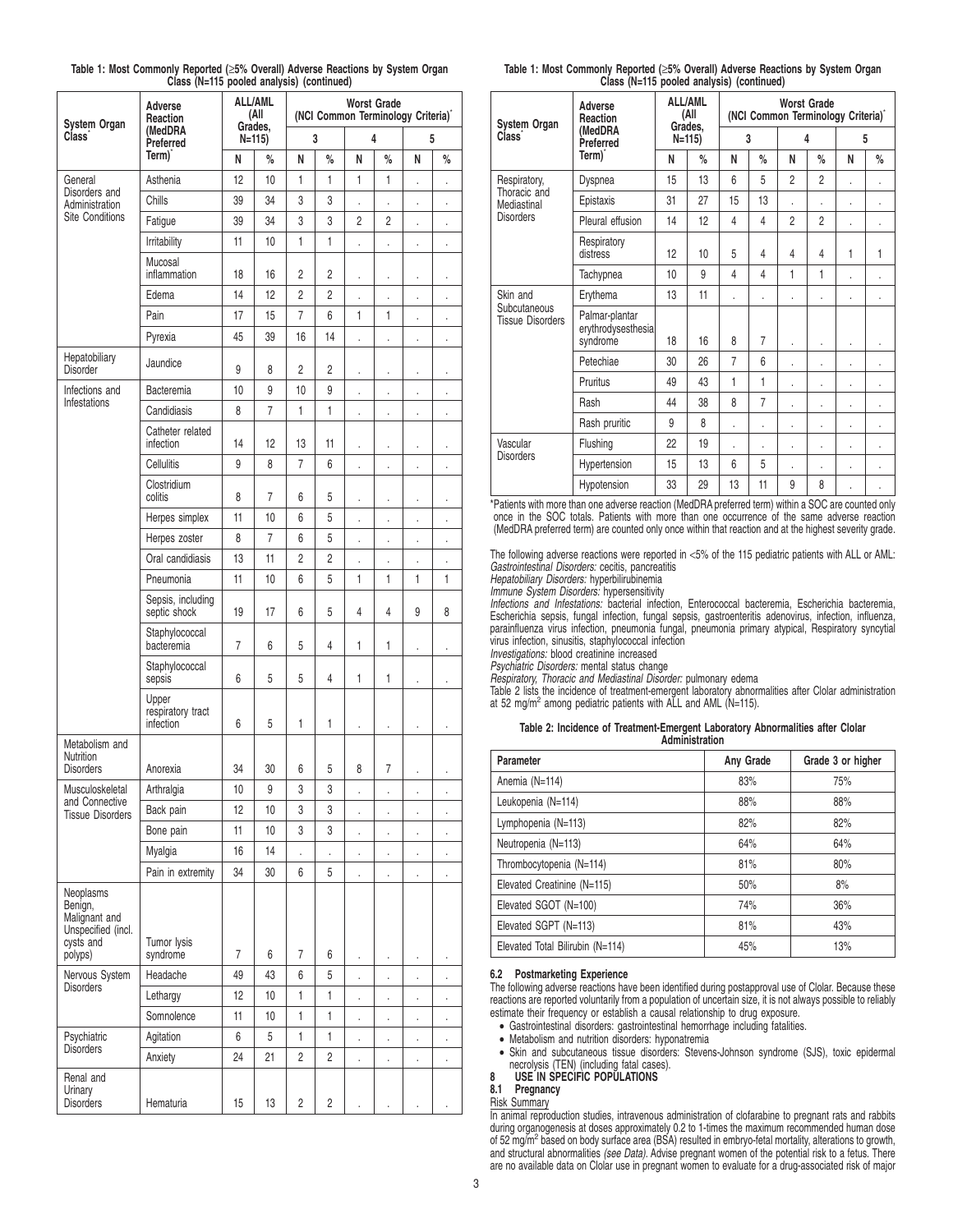|                                                                                     |                                         | $-110$ pooled analysis) (continued) |                        |                                                          |                |                      |                      |                      |                      |  |
|-------------------------------------------------------------------------------------|-----------------------------------------|-------------------------------------|------------------------|----------------------------------------------------------|----------------|----------------------|----------------------|----------------------|----------------------|--|
| <b>System Organ</b>                                                                 | Adverse<br>Reaction                     |                                     | <b>ALL/AML</b><br>(All | <b>Worst Grade</b><br>(NCI Common Terminology Criteria)* |                |                      |                      |                      |                      |  |
| Class <sup>®</sup>                                                                  | (MedDRA<br>Preferred                    | Grades,<br>$N=115$ )                |                        | 3                                                        |                | 4                    |                      | 5                    |                      |  |
|                                                                                     | Term)                                   | N                                   | %                      | N                                                        | %              | N                    | %                    | N                    | %                    |  |
| General                                                                             | Asthenia                                | 12                                  | 10                     | 1                                                        | 1              | 1                    | 1                    |                      | $\ddot{\phantom{0}}$ |  |
| Disorders and<br>Administration                                                     | Chills                                  | 39                                  | 34                     | 3                                                        | 3              |                      |                      | $\overline{a}$       |                      |  |
| <b>Site Conditions</b>                                                              | Fatigue                                 | 39                                  | 34                     | 3                                                        | 3              | 2                    | 2                    | $\ddot{\phantom{0}}$ |                      |  |
|                                                                                     | Irritability                            | 11                                  | 10                     | 1                                                        | 1              |                      | $\ddot{\phantom{0}}$ | $\ddot{\phantom{0}}$ |                      |  |
|                                                                                     | Mucosal<br>inflammation                 | 18                                  | 16                     | 2                                                        | 2              |                      | $\cdot$              | $\ddot{\phantom{0}}$ |                      |  |
|                                                                                     | Edema                                   | 14                                  | 12                     | 2                                                        | 2              |                      | $\ddot{\phantom{0}}$ | $\ddot{\phantom{0}}$ |                      |  |
|                                                                                     | Pain                                    | 17                                  | 15                     | 7                                                        | 6              | 1                    | 1                    | ï                    | $\ddot{\phantom{0}}$ |  |
|                                                                                     | Pyrexia                                 | 45                                  | 39                     | 16                                                       | 14             | $\ddot{\phantom{0}}$ | ï                    | $\ddot{\phantom{0}}$ | $\ddot{\phantom{0}}$ |  |
| Hepatobiliary<br><b>Disorder</b>                                                    | Jaundice                                | 9                                   | 8                      | 2                                                        | 2              |                      |                      |                      |                      |  |
| Infections and                                                                      | Bacteremia                              | 10                                  | 9                      | 10                                                       | 9              | ï                    | ï                    | $\overline{a}$       |                      |  |
| Infestations                                                                        | Candidiasis                             | 8                                   | 7                      | 1                                                        | 1              |                      |                      |                      |                      |  |
|                                                                                     | Catheter related<br>infection           | 14                                  | 12                     | 13                                                       | 11             | $\ddot{\phantom{0}}$ | $\cdot$              |                      |                      |  |
|                                                                                     | Cellulitis                              | 9                                   | 8                      | 7                                                        | 6              | $\ddot{\phantom{0}}$ | ï                    | $\ddot{\phantom{0}}$ |                      |  |
|                                                                                     | Clostridium<br>colitis                  | 8                                   | 7                      | 6                                                        | 5              |                      |                      | $\ddot{\phantom{0}}$ |                      |  |
|                                                                                     | Herpes simplex                          | 11                                  | 10                     | 6                                                        | 5              | $\ddot{\phantom{0}}$ | $\ddot{\phantom{0}}$ |                      |                      |  |
|                                                                                     | Herpes zoster                           | 8                                   | $\overline{7}$         | 6                                                        | 5              |                      | ï                    |                      |                      |  |
|                                                                                     | Oral candidiasis                        | 13                                  | 11                     | $\overline{2}$                                           | $\overline{2}$ |                      |                      |                      |                      |  |
|                                                                                     | Pneumonia                               | 11                                  | 10                     | 6                                                        | 5              | 1                    | 1                    | 1                    | 1                    |  |
|                                                                                     | Sepsis, including<br>septic shock       | 19                                  | 17                     | 6                                                        | 5              | 4                    | 4                    | 9                    | 8                    |  |
|                                                                                     | Staphylococcal<br>bacteremia            | 7                                   | 6                      | 5                                                        | 4              | 1                    | 1                    |                      | $\cdot$              |  |
|                                                                                     | Staphylococcal<br>sepsis                | 6                                   | 5                      | 5                                                        | 4              | 1                    | 1                    | $\ddot{\phantom{0}}$ |                      |  |
|                                                                                     | Upper<br>respiratory tract<br>infection | 6                                   | 5                      | 1                                                        | 1              | $\ddot{\phantom{0}}$ | $\cdot$              |                      |                      |  |
| Metabolism and<br>Nutrition<br><b>Disorders</b>                                     | Anorexia                                | 34                                  | 30                     | 6                                                        | 5              | 8                    | 7                    |                      |                      |  |
| Musculoskeletal                                                                     | Arthralgia                              | 10                                  | 9                      | 3                                                        | 3              |                      | $\cdot$              | $\cdot$              |                      |  |
| and Connective<br><b>Tissue Disorders</b>                                           | Back pain                               | 12                                  | 10                     | 3                                                        | 3              | $\ddot{\phantom{0}}$ | $\ddot{\phantom{0}}$ | $\ddot{\phantom{0}}$ | $\ddot{\phantom{0}}$ |  |
|                                                                                     | Bone pain                               | 11                                  | 10                     | 3                                                        | 3              |                      | $\ddot{\phantom{0}}$ |                      |                      |  |
|                                                                                     | Myalgia                                 | 16                                  | 14                     |                                                          | $\cdot$        | ł,                   | $\cdot$              |                      |                      |  |
|                                                                                     | Pain in extremity                       | 34                                  | 30                     | 6                                                        | 5              |                      |                      |                      |                      |  |
| Neoplasms<br>Benign,<br>Malignant and<br>Unspecified (incl.<br>cysts and<br>polyps) | Tumor lysis<br>syndrome                 | 7                                   | 6                      | 7                                                        | 6              | $\cdot$              | $\cdot$              |                      |                      |  |
| Nervous System                                                                      | Headache                                | 49                                  | 43                     | 6                                                        | 5              |                      | $\ddot{\phantom{0}}$ |                      | $\ddot{\phantom{0}}$ |  |
| <b>Disorders</b>                                                                    | Lethargy                                | 12                                  | 10                     | 1                                                        | 1              | $\ddot{\phantom{0}}$ | $\cdot$              | $\cdot$              |                      |  |
|                                                                                     | Somnolence                              | 11                                  | 10                     | 1                                                        | 1              | $\ddot{\phantom{0}}$ | $\ddot{\phantom{0}}$ |                      | $\ddot{\phantom{0}}$ |  |
| Psychiatric                                                                         | Agitation                               | 6                                   | 5                      | 1                                                        | 1              | $\cdot$              |                      |                      |                      |  |
| <b>Disorders</b>                                                                    | Anxiety                                 | 24                                  | 21                     | 2                                                        | 2              |                      |                      |                      | $\cdot$              |  |
| Renal and<br>Urinary<br><b>Disorders</b>                                            | Hematuria                               | 15                                  | 13                     | $\overline{2}$                                           | $\overline{c}$ |                      |                      |                      |                      |  |

# **Table 1: Most Commonly Reported (**≥**5% Overall) Adverse Reactions by System Organ Class (N=115 pooled analysis) (continued)**

| Table 1: Most Commonly Reported (≥5% Overall) Adverse Reactions by System Organ |                                           |  |  |
|---------------------------------------------------------------------------------|-------------------------------------------|--|--|
|                                                                                 | Class (N=115 pooled analysis) (continued) |  |  |

| System Organ                                        | Adverse<br>Reaction                              | <b>ALL/AML</b><br>(All<br>Grades.<br>$N=115$ |      | <b>Worst Grade</b><br>(NCI Common Terminology Criteria)* |                |                |                |    |      |
|-----------------------------------------------------|--------------------------------------------------|----------------------------------------------|------|----------------------------------------------------------|----------------|----------------|----------------|----|------|
| Class <sup>-</sup>                                  | (MedDRA<br>Preferred                             |                                              |      | 3                                                        |                | 4              |                | 5  |      |
|                                                     | Term) <sup>*</sup>                               | N                                            | $\%$ | N                                                        | %              | N              | $\%$           | N  | $\%$ |
| Respiratory,                                        | Dyspnea                                          | 15                                           | 13   | 6                                                        | 5              | $\overline{c}$ | $\overline{2}$ |    | ï    |
| Thoracic and<br>Mediastinal                         | Epistaxis                                        | 31                                           | 27   | 15                                                       | 13             |                | ä,             | ä, | ٠    |
| <b>Disorders</b>                                    | Pleural effusion                                 | 14                                           | 12   | 4                                                        | $\overline{4}$ | $\overline{c}$ | $\overline{2}$ |    | ï    |
|                                                     | Respiratory<br>distress                          | 12                                           | 10   | 5                                                        | 4              | 4              | 4              | 1  | 1    |
|                                                     | Tachypnea                                        | 10                                           | 9    | 4                                                        | 4              | 1              | 1              |    |      |
| Skin and<br>Subcutaneous<br><b>Tissue Disorders</b> | Erythema                                         | 13                                           | 11   |                                                          | l.             |                | ï              |    | ï    |
|                                                     | Palmar-plantar<br>erythrodysesthesia<br>syndrome | 18                                           | 16   | 8                                                        | 7              |                | ï              |    |      |
|                                                     | Petechiae                                        | 30                                           | 26   | $\overline{7}$                                           | 6              | ï              | ï              |    | ï    |
|                                                     | Pruritus                                         | 49                                           | 43   | 1                                                        | 1              | ï              | ï              | ï  | ï    |
|                                                     | Rash                                             | 44                                           | 38   | 8                                                        | 7              |                | ï              | ï  |      |
|                                                     | Rash pruritic                                    | 9                                            | 8    | ï                                                        |                | ï              | ï              |    |      |
| Vascular<br><b>Disorders</b>                        | Flushing                                         | 22                                           | 19   | ï                                                        | i.             | ï              |                |    | ï    |
|                                                     | Hypertension                                     | 15                                           | 13   | 6                                                        | 5              | ä,             | ä,             | ä, | ï    |
|                                                     | Hypotension                                      | 33                                           | 29   | 13                                                       | 11             | 9              | 8              |    |      |

\*Patients with more than one adverse reaction (MedDRA preferred term) within a SOC are counted only once in the SOC totals. Patients with more than one occurrence of the same adverse reaction (MedDRA preferred term) are counted only once within that reaction and at the highest severity grade.

The following adverse reactions were reported in  $<5\%$  of the 115 pediatric patients with ALL or AML: Gastrointestinal Disorders: cecitis, pancreatitis

Hepatobiliary Disorders: hyperbilirubinemia

Immune System Disorders: hypersensitivity

Infections and Infestations: bacterial infection, Enterococcal bacteremia, Escherichia bacteremia, Escherichia sepsis, fungal infection, fungal sepsis, gastroenteritis adenovirus, infection, influenza, parainfluenza virus infection, pneumonia fungal, pneumonia primary atypical, Respiratory syncytial virus infection, sinusitis, staphylococcal infection

Investigations: blood creatinine increased

Psychiatric Disorders: mental status change

Respiratory, Thoracic and Mediastinal Disorder: pulmonary edema

Table 2 lists the incidence of treatment-emergent laboratory abnormalities after Clolar administration<br>at 52 mg/m<sup>2</sup> among pediatric patients with ALL and AML (N=115).

# **Table 2: Incidence of Treatment-Emergent Laboratory Abnormalities after Clolar Administration**

| Parameter                        | Any Grade | Grade 3 or higher |
|----------------------------------|-----------|-------------------|
| Anemia (N=114)                   | 83%       | 75%               |
| Leukopenia (N=114)               | 88%       | 88%               |
| Lymphopenia (N=113)              | 82%       | 82%               |
| Neutropenia (N=113)              | 64%       | 64%               |
| Thrombocytopenia (N=114)         | 81%       | 80%               |
| Elevated Creatinine (N=115)      | 50%       | 8%                |
| Elevated SGOT (N=100)            | 74%       | 36%               |
| Elevated SGPT (N=113)            | 81%       | 43%               |
| Elevated Total Bilirubin (N=114) | 45%       | 13%               |

# **6.2 Postmarketing Experience**

The following adverse reactions have been identified during postapproval use of Clolar. Because these reactions are reported voluntarily from a population of uncertain size, it is not always possible to reliably estimate their frequency or establish a causal relationship to drug exposure.

- Gastrointestinal disorders: gastrointestinal hemorrhage including fatalities.
- Metabolism and nutrition disorders: hyponatremia
- Skin and subcutaneous tissue disorders: Stevens-Johnson syndrome (SJS), toxic epidermal necrolysis (TEN) (including fatal cases).

**8 USE IN SPECIFIC POPULATIONS**

**8.1 Pregnancy**

Risk Summary

In animal reproduction studies, intravenous administration of clofarabine to pregnant rats and rabbits during organogenesis at doses approximately 0.2 to 1-times the maximum recommended human dose of 52 mg/m<sup>2</sup> based on body surface area (BSA) resulted in embryo-fetal mortality, alterations to growth, and structural abnormalities (see Data). Advise pregnant women of the potential risk to a fetus. There are no available data on Clolar use in pregnant women to evaluate for a drug-associated risk of major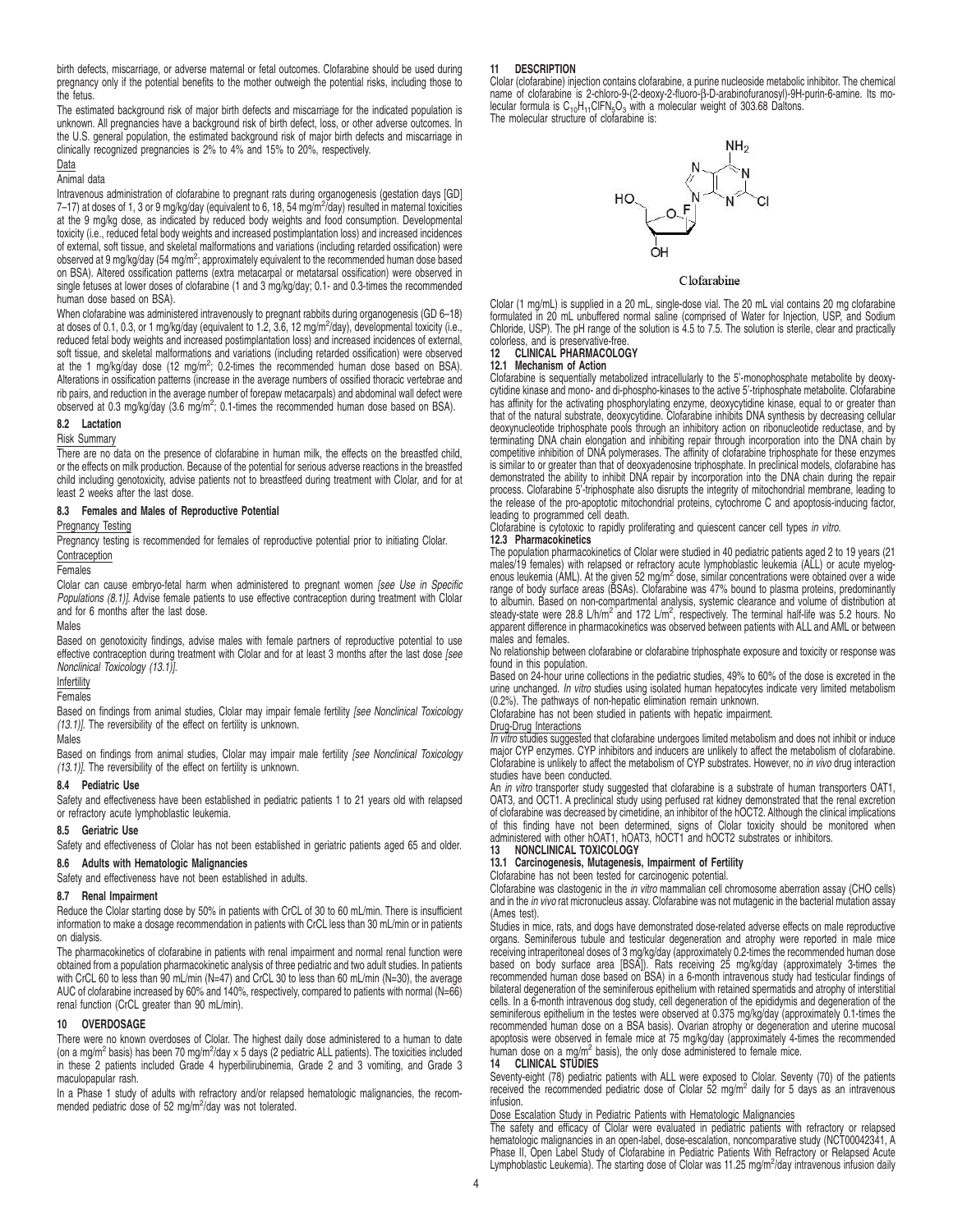birth defects, miscarriage, or adverse maternal or fetal outcomes. Clofarabine should be used during pregnancy only if the potential benefits to the mother outweigh the potential risks, including those to the fetus.

The estimated background risk of major birth defects and miscarriage for the indicated population is unknown. All pregnancies have a background risk of birth defect, loss, or other adverse outcomes. In the U.S. general population, the estimated background risk of major birth defects and miscarriage in clinically recognized pregnancies is 2% to 4% and 15% to 20%, respectively.

### Data Animal data

Intravenous administration of clofarabine to pregnant rats during organogenesis (gestation days [GD] 7–17) at doses of 1, 3 or 9 mg/kg/day (equivalent to 6, 18, 54 mg/m<sup>2</sup>/day) resulted in maternal toxicities at the 9 mg/kg dose, as indicated by reduced body weights and food consumption. Developmental toxicity (i.e., reduced fetal body weights and increased postimplantation loss) and increased incidences of external, soft tissue, and skeletal malformations and variations (including retarded ossification) were observed at 9 mg/kg/day (54 mg/m<sup>2</sup>; approximately equivalent to the recommended human dose based on BSA). Altered ossification patterns (extra metacarpal or metatarsal ossification) were observed in single fetuses at lower doses of clofarabine (1 and 3 mg/kg/day; 0.1- and 0.3-times the recommended human dose based on BSA).

When clofarabine was administered intravenously to pregnant rabbits during organogenesis (GD 6-18) at doses of 0.1, 0.3, or 1 mg/kg/day (equivalent to 1.2, 3.6, 12 mg/m<sup>2</sup>/day), developmental toxicity (i.e., reduced fetal body weights and increased postimplantation loss) and increased incidences of external, soft tissue, and skeletal malformations and variations (including retarded ossification) were observed at the 1 mg/kg/day dose (12 mg/m<sup>2</sup>; 0.2-times the recommended human dose based on BSA). Alterations in ossification patterns (increase in the average numbers of ossified thoracic vertebrae and rib pairs, and reduction in the average number of forepaw metacarpals) and abdominal wall defect were observed at 0.3 mg/kg/day (3.6 mg/m<sup>2</sup>; 0.1-times the recommended human dose based on BSA).

### **8.2 Lactation**

Risk Summary

There are no data on the presence of clofarabine in human milk, the effects on the breastfed child, or the effects on milk production. Because of the potential for serious adverse reactions in the breastfed child including genotoxicity, advise patients not to breastfeed during treatment with Clolar, and for at least 2 weeks after the last dose.

### **8.3 Females and Males of Reproductive Potential**

### Pregnancy Testing

Pregnancy testing is recommended for females of reproductive potential prior to initiating Clolar. **Contraception** 

**Females** 

Clolar can cause embryo-fetal harm when administered to pregnant women [see Use in Specific Populations (8.1)]. Advise female patients to use effective contraception during treatment with Clolar and for 6 months after the last dose.

### Males

Based on genotoxicity findings, advise males with female partners of reproductive potential to use effective contraception during treatment with Clolar and for at least 3 months after the last dose [see Nonclinical Toxicology (13.1)].

# Infertility

Females

Based on findings from animal studies, Clolar may impair female fertility [see Nonclinical Toxicology (13.1)]. The reversibility of the effect on fertility is unknown.

### Males

Based on findings from animal studies, Clolar may impair male fertility [see Nonclinical Toxicology (13.1)]. The reversibility of the effect on fertility is unknown.

### **8.4 Pediatric Use**

Safety and effectiveness have been established in pediatric patients 1 to 21 years old with relapsed or refractory acute lymphoblastic leukemia.

### **8.5 Geriatric Use**

Safety and effectiveness of Clolar has not been established in geriatric patients aged 65 and older.

# **8.6 Adults with Hematologic Malignancies**

Safety and effectiveness have not been established in adults.

### **8.7 Renal Impairment**

Reduce the Clolar starting dose by 50% in patients with CrCL of 30 to 60 mL/min. There is insufficient information to make a dosage recommendation in patients with CrCL less than 30 mL/min or in patients on dialysis.

The pharmacokinetics of clofarabine in patients with renal impairment and normal renal function were obtained from a population pharmacokinetic analysis of three pediatric and two adult studies. In patients with CrCL 60 to less than 90 mL/min (N=47) and CrCL 30 to less than 60 mL/min (N=30), the average AUC of clofarabine increased by 60% and 140%, respectively, compared to patients with normal (N=66) renal function (CrCL greater than 90 mL/min).

### **10 OVERDOSAGE**

There were no known overdoses of Clolar. The highest daily dose administered to a human to date (on a mg/m<sup>2</sup> basis) has been 70 mg/m<sup>2</sup>/day  $\times$  5 days (2 pediatric ALL patients). The toxicities included in these 2 patients included Grade 4 hyperbilirubinemia, Grade 2 and 3 vomiting, and Grade 3 maculopapular rash.

In a Phase 1 study of adults with refractory and/or relapsed hematologic malignancies, the recommended pediatric dose of 52 mg/m<sup>2</sup>/day was not tolerated.

### **11 DESCRIPTION**

Clolar (clofarabine) injection contains clofarabine, a purine nucleoside metabolic inhibitor. The chemical name of clofarabine is 2-chloro-9-(2-deoxy-2-fluoro-β-D-arabinofuranosyl)-9H-purin-6-amine. Its molecular formula is  $C_{10}H_{11}CIFN_5O_3$  with a molecular weight of 303.68 Daltons. The molecular structure of clofarabine is:



Clofarabine

Clolar (1 mg/mL) is supplied in a 20 mL, single-dose vial. The 20 mL vial contains 20 mg clofarabine formulated in 20 mL unbuffered normal saline (comprised of Water for Injection, USP, and Sodium Chloride, USP). The pH range of the solution is 4.5 to 7.5. The solution is sterile, clear and practically

### colorless, and is preservative-free.<br>12 CLINICAL PHARMACOLOC **12 CLINICAL PHARMACOLOGY**

# **12.1 Mechanism of Action**

Clofarabine is sequentially metabolized intracellularly to the 5'-monophosphate metabolite by deoxycytidine kinase and mono- and di-phospho-kinases to the active 5'-triphosphate metabolite. Clofarabine has affinity for the activating phosphorylating enzyme, deoxycytidine kinase, equal to or greater than that of the natural substrate, deoxycytidine. Clofarabine inhibits DNA synthesis by decreasing cellular deoxynucleotide triphosphate pools through an inhibitory action on ribonucleotide reductase, and by terminating DNA chain elongation and inhibiting repair through incorporation into the DNA chain by competitive inhibition of DNA polymerases. The affinity of clofarabine triphosphate for these enzymes is similar to or greater than that of deoxyadenosine triphosphate. In preclinical models, clofarabine has demonstrated the ability to inhibit DNA repair by incorporation into the DNA chain during the repair process. Clofarabine 5'-triphosphate also disrupts the integrity of mitochondrial membrane, leading to the release of the pro-apoptotic mitochondrial proteins, cytochrome C and apoptosis-inducing factor, leading to programmed cell death.

Clofarabine is cytotoxic to rapidly proliferating and quiescent cancer cell types in vitro.

### **12.3 Pharmacokinetics**

The population pharmacokinetics of Clolar were studied in 40 pediatric patients aged 2 to 19 years (21 males/19 females) with relapsed or refractory acute lymphoblastic leukemia (ALL) or acute myelog-<br>enous leukemia (AML). At the given 52 mg/m<sup>2</sup> dose, similar concentrations were obtained over a wide range of body surface areas (BSAs). Clofarabine was 47% bound to plasma proteins, predominantly to albumin. Based on non-compartmental analysis, systemic clearance and volume of distribution at<br>steady-state were 28.8 L/h/m<sup>2</sup> and 172 L/m<sup>2</sup>, respectively. The terminal half-life was 5.2 hours. No apparent difference in pharmacokinetics was observed between patients with ALL and AML or between males and females.

No relationship between clofarabine or clofarabine triphosphate exposure and toxicity or response was found in this population.

Based on 24-hour urine collections in the pediatric studies, 49% to 60% of the dose is excreted in the urine unchanged. In vitro studies using isolated human hepatocytes indicate very limited metabolism (0.2%). The pathways of non-hepatic elimination remain unknown.

Clofarabine has not been studied in patients with hepatic impairment.

# Drug-Drug Interactions

In vitro studies suggested that clofarabine undergoes limited metabolism and does not inhibit or induce major CYP enzymes. CYP inhibitors and inducers are unlikely to affect the metabolism of clofarabine. Clofarabine is unlikely to affect the metabolism of CYP substrates. However, no in vivo drug interaction studies have been conducted.

An in vitro transporter study suggested that clofarabine is a substrate of human transporters OAT1, OAT3, and OCT1. A preclinical study using perfused rat kidney demonstrated that the renal excretion of clofarabine was decreased by cimetidine, an inhibitor of the hOCT2. Although the clinical implications of this finding have not been determined, signs of Clolar toxicity should be monitored when administered with other hOAT1, hOAT3, hOCT1 and hOCT2 substrates or inhibitors.<br>13 **NONCLINICAL TOXICOLOGY** 

# **13 NONCLINICAL TOXICOLOGY**

**13.1 Carcinogenesis, Mutagenesis, Impairment of Fertility**

Clofarabine has not been tested for carcinogenic potential.

Clofarabine was clastogenic in the in vitro mammalian cell chromosome aberration assay (CHO cells) and in the *in vivo* rat micronucleus assay. Clofarabine was not mutagenic in the bacterial mutation assay (Ames test).

Studies in mice, rats, and dogs have demonstrated dose-related adverse effects on male reproductive organs. Seminiferous tubule and testicular degeneration and atrophy were reported in male mice receiving intraperitoneal doses of 3 mg/kg/day (approximately 0.2-times the recommended human dose based on body surface area [BSA]). Rats receiving 25 mg/kg/day (approximately 3-times the recommended human dose based on BSA) in a 6-month intravenous study had testicular findings of bilateral degeneration of the seminiferous epithelium with retained spermatids and atrophy of interstitial cells. In a 6-month intravenous dog study, cell degeneration of the epididymis and degeneration of the seminiferous epithelium in the testes were observed at 0.375 mg/kg/day (approximately 0.1-times the recommended human dose on a BSA basis). Ovarian atrophy or degeneration and uterine mucosal apoptosis were observed in female mice at 75 mg/kg/day (approximately 4-times the recommended human dose on a mg/m<sup>2</sup> basis), the only dose administered to female mice.

### **14 CLINICAL STUDIES**

Seventy-eight (78) pediatric patients with ALL were exposed to Clolar. Seventy (70) of the patients<br>received the recommended pediatric dose of Clolar 52 mg/m<sup>2</sup> daily for 5 days as an intravenous infusion.

### Dose Escalation Study in Pediatric Patients with Hematologic Malignancies

The safety and efficacy of Clolar were evaluated in pediatric patients with refractory or relapsed hematologic malignancies in an open-label, dose-escalation, noncomparative study (NCT00042341, A Phase II, Open Label Study of Clofarabine in Pediatric Patients With Refractory or Relapsed Acute Lymphoblastic Leukemia). The starting dose of Clolar was 11.25 mg/m<sup>2</sup>/day intravenous infusion daily